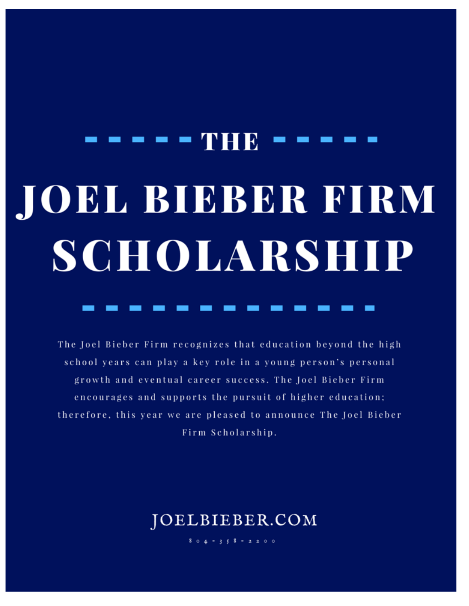# **- - THR JOEL BIEBER FIRM** SCHOLARSHIP

The Joel Bieber Firm recognizes that education beyond the high school years can play a key role in a young person's personal growth and eventual career success. The Joel Bieber Firm encourages and supports the pursuit of higher education; therefore, this year we are pleased to announce The Joel Bieber Firm Scholarship.

## JOELBIEBER.COM

 $804 - 358 - 2200$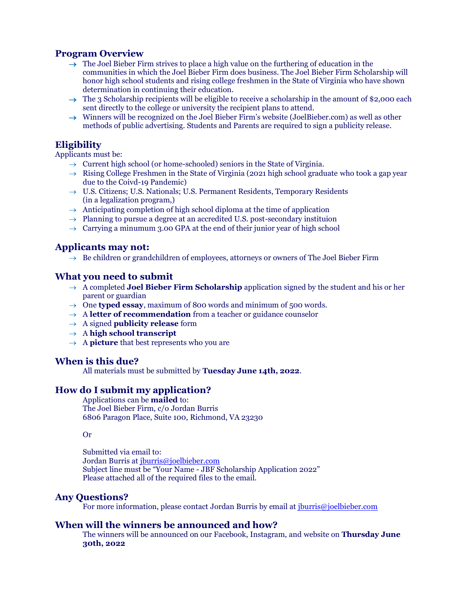#### **Program Overview**

- $\rightarrow$  The Joel Bieber Firm strives to place a high value on the furthering of education in the communities in which the Joel Bieber Firm does business. The Joel Bieber Firm Scholarship will honor high school students and rising college freshmen in the State of Virginia who have shown determination in continuing their education.
- $\rightarrow$  The 3 Scholarship recipients will be eligible to receive a scholarship in the amount of \$2,000 each sent directly to the college or university the recipient plans to attend.
- $\rightarrow$  Winners will be recognized on the Joel Bieber Firm's website (JoelBieber.com) as well as other methods of public advertising. Students and Parents are required to sign a publicity release.

#### **Eligibility**

Applicants must be:

- $\rightarrow$  Current high school (or home-schooled) seniors in the State of Virginia.
- $\rightarrow$  Rising College Freshmen in the State of Virginia (2021 high school graduate who took a gap year due to the Coivd-19 Pandemic)
- $\rightarrow$  U.S. Citizens; U.S. Nationals; U.S. Permanent Residents, Temporary Residents (in a legalization program,)
- $\rightarrow$  Anticipating completion of high school diploma at the time of application
- $\rightarrow$  Planning to pursue a degree at an accredited U.S. post-secondary instituion
- $\rightarrow$  Carrying a minumum 3.00 GPA at the end of their junior year of high school

#### **Applicants may not:**

 $\rightarrow$  Be children or grandchildren of employees, attorneys or owners of The Joel Bieber Firm

#### **What you need to submit**

- → A completed **Joel Bieber Firm Scholarship** application signed by the student and his or her parent or guardian
- $\rightarrow$  One **typed essay**, maximum of 800 words and minimum of 500 words.
- $\rightarrow$  A **letter of recommendation** from a teacher or guidance counselor
- → A signed **publicity release** form
- → A **high school transcript**
- $\rightarrow$  A **picture** that best represents who you are

#### **When is this due?**

All materials must be submitted by **Tuesday June 14th, 2022**.

#### **How do I submit my application?**

Applications can be **mailed** to: The Joel Bieber Firm, c/o Jordan Burris 6806 Paragon Place, Suite 100, Richmond, VA 23230

#### Or

Submitted via email to: Jordan Burris at [jburris@joelbieber.com](mailto:jburris@joelbieber.com) Subject line must be "Your Name - JBF Scholarship Application 2022" Please attached all of the required files to the email.

#### **Any Questions?**

For more information, please contact Jordan Burris by email at [jburris@joelbieber.com](mailto:jburris@joelbieber.com)

#### **When will the winners be announced and how?**

The winners will be announced on our Facebook, Instagram, and website on **Thursday June 30th, 2022**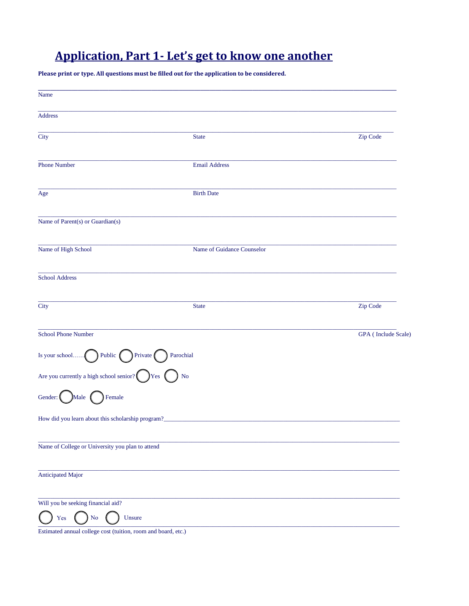## **Application, Part 1- Let's get to know one another**

Please print or type. All questions must be filled out for the application to be considered.

| <b>State</b>               | Zip Code            |
|----------------------------|---------------------|
| <b>Email Address</b>       |                     |
| <b>Birth Date</b>          |                     |
|                            |                     |
| Name of Guidance Counselor |                     |
|                            |                     |
| <b>State</b>               | Zip Code            |
|                            | GPA (Include Scale) |
| Parochial                  |                     |
| N <sub>0</sub>             |                     |
|                            |                     |
|                            |                     |
|                            |                     |
|                            |                     |
|                            |                     |
|                            |                     |
|                            |                     |

Estimated annual college cost (tuition, room and board, etc.)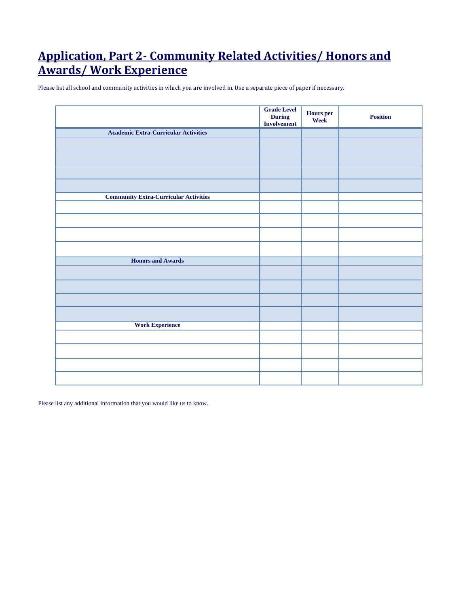## **Application, Part 2- Community Related Activities/ Honors and Awards/ Work Experience**

Please list all school and community activities in which you are involved in. Use a separate piece of paper if necessary.

|                                              | <b>Grade Level</b><br>During<br>Involvement | <b>Hours</b> per<br>Week | <b>Position</b> |
|----------------------------------------------|---------------------------------------------|--------------------------|-----------------|
| <b>Academic Extra-Curricular Activities</b>  |                                             |                          |                 |
|                                              |                                             |                          |                 |
|                                              |                                             |                          |                 |
|                                              |                                             |                          |                 |
|                                              |                                             |                          |                 |
| <b>Community Extra-Curricular Activities</b> |                                             |                          |                 |
|                                              |                                             |                          |                 |
|                                              |                                             |                          |                 |
|                                              |                                             |                          |                 |
|                                              |                                             |                          |                 |
| <b>Honors and Awards</b>                     |                                             |                          |                 |
|                                              |                                             |                          |                 |
|                                              |                                             |                          |                 |
|                                              |                                             |                          |                 |
|                                              |                                             |                          |                 |
| <b>Work Experience</b>                       |                                             |                          |                 |
|                                              |                                             |                          |                 |
|                                              |                                             |                          |                 |
|                                              |                                             |                          |                 |
|                                              |                                             |                          |                 |

Please list any additional information that you would like us to know.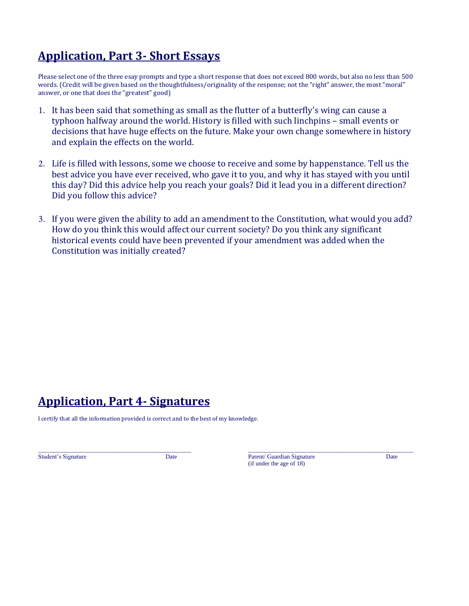## **Application, Part 3- Short Essays**

Please select one of the three esay prompts and type a short response that does not exceed 800 words, but also no less than 500 words. (Credit will be given based on the thoughtfulness/originality of the response; not the "right" answer, the most "moral" answer, or one that does the "greatest" good)

- 1. It has been said that something as small as the flutter of a butterfly's wing can cause a typhoon halfway around the world. History is filled with such linchpins – small events or decisions that have huge effects on the future. Make your own change somewhere in history and explain the effects on the world.
- 2. Life is filled with lessons, some we choose to receive and some by happenstance. Tell us the best advice you have ever received, who gave it to you, and why it has stayed with you until this day? Did this advice help you reach your goals? Did it lead you in a different direction? Did you follow this advice?
- 3. If you were given the ability to add an amendment to the Constitution, what would you add? How do you think this would affect our current society? Do you think any significant historical events could have been prevented if your amendment was added when the Constitution was initially created?

## **Application, Part 4- Signatures**

I certify that all the information provided is correct and to the best of my knowledge.

 $\_$  , and the state of the state of the state of the state of the state of the state of the state of the state of the state of the state of the state of the state of the state of the state of the state of the state of the Student's Signature Date Date Parent/ Guardian Signature Date Date (if under the age of 18)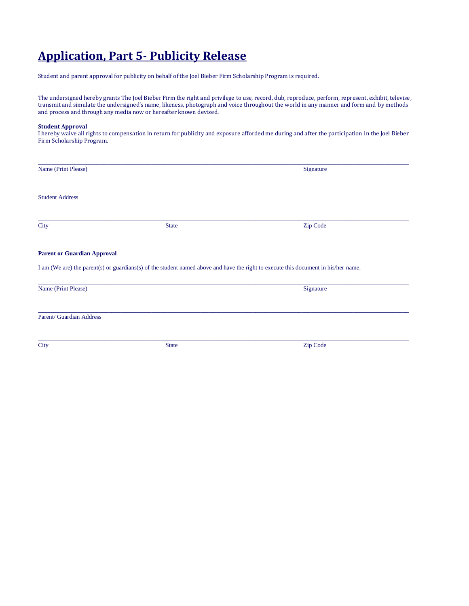## **Application, Part 5- Publicity Release**

Student and parent approval for publicity on behalf of the Joel Bieber Firm Scholarship Program is required.

The undersigned hereby grants The Joel Bieber Firm the right and privilege to use, record, dub, reproduce, perform, represent, exhibit, televise, transmit and simulate the undersigned's name, likeness, photograph and voice throughout the world in any manner and form and by methods and process and through any media now or hereafter known devised.

#### **Student Approval**

I hereby waive all rights to compensation in return for publicity and exposure afforded me during and after the participation in the Joel Bieber Firm Scholarship Program.

| Name (Print Please)                |              | Signature                                                                                                                           |  |
|------------------------------------|--------------|-------------------------------------------------------------------------------------------------------------------------------------|--|
| <b>Student Address</b>             |              |                                                                                                                                     |  |
| <b>City</b>                        | <b>State</b> | Zip Code                                                                                                                            |  |
| <b>Parent or Guardian Approval</b> |              |                                                                                                                                     |  |
|                                    |              | I am (We are) the parent(s) or guardians(s) of the student named above and have the right to execute this document in his/her name. |  |
| Name (Print Please)                |              | Signature                                                                                                                           |  |
| Parent/ Guardian Address           |              |                                                                                                                                     |  |
| <b>City</b>                        | <b>State</b> | Zip Code                                                                                                                            |  |